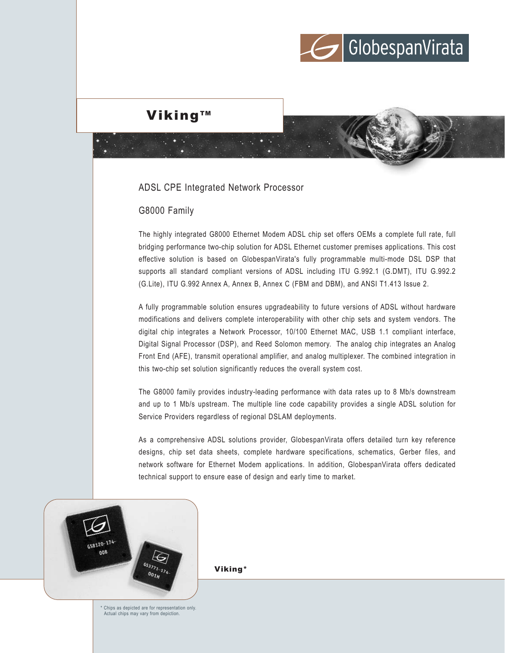

## Viking<sup>™</sup>

### ADSL CPE Integrated Network Processor

## G8000 Family

The highly integrated G8000 Ethernet Modem ADSL chip set offers OEMs a complete full rate, full bridging performance two-chip solution for ADSL Ethernet customer premises applications. This cost effective solution is based on GlobespanVirata's fully programmable multi-mode DSL DSP that supports all standard compliant versions of ADSL including ITU G.992.1 (G.DMT), ITU G.992.2 (G.Lite), ITU G.992 Annex A, Annex B, Annex C (FBM and DBM), and ANSI T1.413 Issue 2.

A fully programmable solution ensures upgradeability to future versions of ADSL without hardware modifications and delivers complete interoperability with other chip sets and system vendors. The digital chip integrates a Network Processor, 10/100 Ethernet MAC, USB 1.1 compliant interface, Digital Signal Processor (DSP), and Reed Solomon memory. The analog chip integrates an Analog Front End (AFE), transmit operational amplifier, and analog multiplexer. The combined integration in this two-chip set solution significantly reduces the overall system cost.

The G8000 family provides industry-leading performance with data rates up to 8 Mb/s downstream and up to 1 Mb/s upstream. The multiple line code capability provides a single ADSL solution for Service Providers regardless of regional DSLAM deployments.

As a comprehensive ADSL solutions provider, GlobespanVirata offers detailed turn key reference designs, chip set data sheets, complete hardware specifications, schematics, Gerber files, and network software for Ethernet Modem applications. In addition, GlobespanVirata offers dedicated technical support to ensure ease of design and early time to market.



Viking\*

\* Chips as depicted are for representation only. Actual chips may vary from depiction.